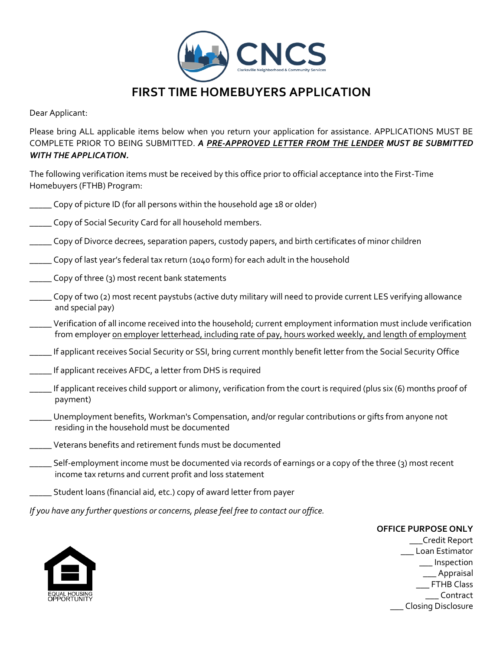

Dear Applicant:

Please bring ALL applicable items below when you return your application for assistance. APPLICATIONS MUST BE COMPLETE PRIOR TO BEING SUBMITTED. *A PRE-APPROVED LETTER FROM THE LENDER MUST BE SUBMITTED WITH THE APPLICATION.* 

The following verification items must be received by this office prior to official acceptance into the First-Time Homebuyers (FTHB) Program:

- \_\_\_\_\_ Copy of picture ID (for all persons within the household age 18 or older)
- \_\_\_\_\_ Copy of Social Security Card for all household members.
- \_\_\_\_\_ Copy of Divorce decrees, separation papers, custody papers, and birth certificates of minor children
- \_\_\_\_\_ Copy of last year's federal tax return (1040 form) for each adult in the household
- \_\_\_\_\_ Copy of three (3) most recent bank statements
- \_\_\_\_\_ Copy of two (2) most recent paystubs (active duty military will need to provide current LES verifying allowance and special pay)
- \_\_\_\_\_ Verification of all income received into the household; current employment information must include verification from employer on employer letterhead, including rate of pay, hours worked weekly, and length of employment
- \_\_\_\_\_ If applicant receives Social Security or SSI, bring current monthly benefit letter from the Social Security Office
- **\_\_\_\_\_** If applicant receives AFDC, a letter from DHS is required
- \_\_\_\_\_ If applicant receives child support or alimony, verification from the court is required (plus six (6) months proof of payment)
- \_\_\_\_\_ Unemployment benefits, Workman's Compensation, and/or regular contributions or gifts from anyone not residing in the household must be documented
- \_\_\_\_\_ Veterans benefits and retirement funds must be documented
- \_\_\_\_\_ Self-employment income must be documented via records of earnings or a copy of the three (3) most recent income tax returns and current profit and loss statement
- \_\_\_\_\_ Student loans (financial aid, etc.) copy of award letter from payer

*If you have any further questions or concerns, please feel free to contact our office.* 

### **OFFICE PURPOSE ONLY**



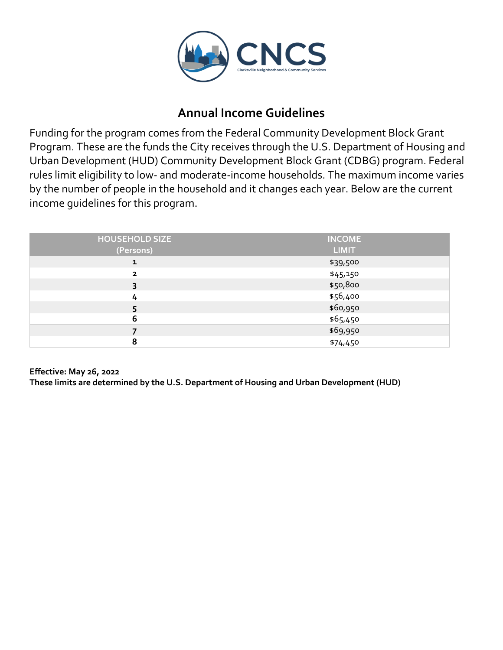

### **Annual Income Guidelines**

Funding for the program comes from the Federal Community Development Block Grant Program. These are the funds the City receives through the U.S. Department of Housing and Urban Development (HUD) Community Development Block Grant (CDBG) program. Federal rules limit eligibility to low- and moderate-income households. The maximum income varies by the number of people in the household and it changes each year. Below are the current income guidelines for this program.

| <b>HOUSEHOLD SIZE</b>   | <b>INCOME</b> |
|-------------------------|---------------|
| (Persons)               | <b>LIMIT</b>  |
| $\mathbf{1}$            | \$39,500      |
| $\overline{\mathbf{2}}$ | \$45,150      |
| 3                       | \$50,800      |
| 4                       | \$56,400      |
| 5                       | \$60,950      |
| 6                       | \$65,450      |
|                         | \$69,950      |
| 8                       | \$74,450      |

**Effective: May 26, 2022**

**These limits are determined by the U.S. Department of Housing and Urban Development (HUD)**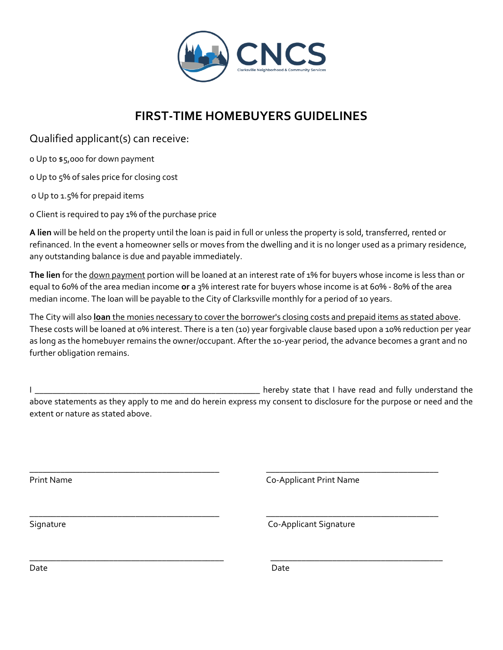

# **FIRST-TIME HOMEBUYERS GUIDELINES**

Qualified applicant(s) can receive:

o Up to \$5,000 for down payment

o Up to 5% of sales price for closing cost

o Up to 1.5% for prepaid items

o Client is required to pay 1% of the purchase price

**A lien** will be held on the property until the loan is paid in full or unless the property is sold, transferred, rented or refinanced. In the event a homeowner sells or moves from the dwelling and it is no longer used as a primary residence, any outstanding balance is due and payable immediately.

**The lien** for the down payment portion will be loaned at an interest rate of 1% for buyers whose income is less than or equal to 60% of the area median income **or** a 3% interest rate for buyers whose income is at 60% - 80% of the area median income. The loan will be payable to the City of Clarksville monthly for a period of 10 years.

The City will also **loan** the monies necessary to cover the borrower's closing costs and prepaid items as stated above. These costs will be loaned at 0% interest. There is a ten (10) year forgivable clause based upon a 10% reduction per year as long as the homebuyer remains the owner/occupant. After the 10-year period, the advance becomes a grant and no further obligation remains.

I Letting the state of the state of the state that I have read and fully understand the above statements as they apply to me and do herein express my consent to disclosure for the purpose or need and the extent or nature as stated above.

\_\_\_\_\_\_\_\_\_\_\_\_\_\_\_\_\_\_\_\_\_\_\_\_\_\_\_\_\_\_\_\_\_\_\_\_\_\_\_\_\_\_\_ \_\_\_\_\_\_\_\_\_\_\_\_\_\_\_\_\_\_\_\_\_\_\_\_\_\_\_\_\_\_\_\_\_\_\_\_\_\_\_

\_\_\_\_\_\_\_\_\_\_\_\_\_\_\_\_\_\_\_\_\_\_\_\_\_\_\_\_\_\_\_\_\_\_\_\_\_\_\_\_\_\_\_\_ \_\_\_\_\_\_\_\_\_\_\_\_\_\_\_\_\_\_\_\_\_\_\_\_\_\_\_\_\_\_\_\_\_\_\_\_\_\_\_

\_\_\_\_\_\_\_\_\_\_\_\_\_\_\_\_\_\_\_\_\_\_\_\_\_\_\_\_\_\_\_\_\_\_\_\_\_\_\_\_\_\_\_ \_\_\_\_\_\_\_\_\_\_\_\_\_\_\_\_\_\_\_\_\_\_\_\_\_\_\_\_\_\_\_\_\_\_\_\_\_\_\_ Print Name Co-Applicant Print Name

Signature Co-Applicant Signature

Date **Date** Date **Date** Date **Date**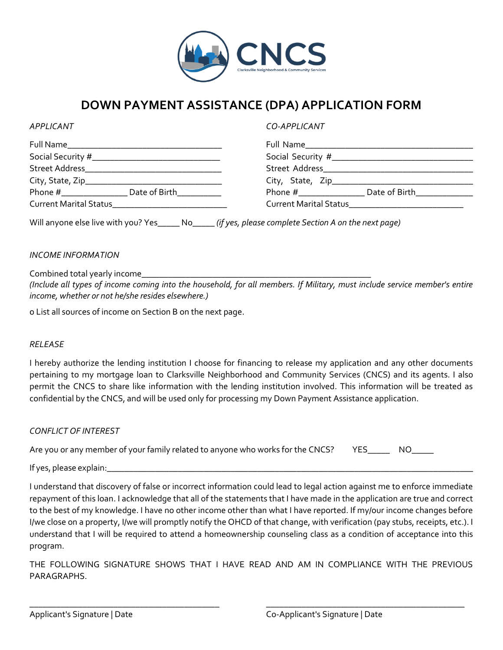

### **DOWN PAYMENT ASSISTANCE (DPA) APPLICATION FORM**

*APPLICANT CO-APPLICANT*

|                 | Social Security #___________________________________                                                                          |                                                          |  |
|-----------------|-------------------------------------------------------------------------------------------------------------------------------|----------------------------------------------------------|--|
| Street Address_ | <u> 1989 - Johann John Stone, mars et al. 1989 - John Stone, mars et al. 1989 - John Stone, mars et al. 1989 - John Stone</u> |                                                          |  |
|                 |                                                                                                                               |                                                          |  |
|                 |                                                                                                                               | Date of Birth <b>Example</b><br>Phone $#$ ______________ |  |
|                 |                                                                                                                               | Current Marital Status<br><u>Land Assemble Discover</u>  |  |

Will anyone else live with you? Yes\_\_\_\_\_ No\_\_\_\_\_ *(if yes, please complete Section A on the next page)*

### *INCOME INFORMATION*

Combined total yearly income

*(Include all types of income coming into the household, for all members. If Military, must include service member's entire income, whether or not he/she resides elsewhere.)* 

o List all sources of income on Section B on the next page.

#### *RELEASE*

I hereby authorize the lending institution I choose for financing to release my application and any other documents pertaining to my mortgage loan to Clarksville Neighborhood and Community Services (CNCS) and its agents. I also permit the CNCS to share like information with the lending institution involved. This information will be treated as confidential by the CNCS, and will be used only for processing my Down Payment Assistance application.

### *CONFLICT OF INTEREST*

| Are you or any member of your family related to anyone who works for the CNCS? YES___ |  | NO NO |
|---------------------------------------------------------------------------------------|--|-------|
|---------------------------------------------------------------------------------------|--|-------|

If yes, please explain:

I understand that discovery of false or incorrect information could lead to legal action against me to enforce immediate repayment of this loan. I acknowledge that all of the statements that I have made in the application are true and correct to the best of my knowledge. I have no other income other than what I have reported. If my/our income changes before I/we close on a property, I/we will promptly notify the OHCD of that change, with verification (pay stubs, receipts, etc.). I understand that I will be required to attend a homeownership counseling class as a condition of acceptance into this program.

THE FOLLOWING SIGNATURE SHOWS THAT I HAVE READ AND AM IN COMPLIANCE WITH THE PREVIOUS PARAGRAPHS.

\_\_\_\_\_\_\_\_\_\_\_\_\_\_\_\_\_\_\_\_\_\_\_\_\_\_\_\_\_\_\_\_\_\_\_\_\_\_\_\_\_\_\_ \_\_\_\_\_\_\_\_\_\_\_\_\_\_\_\_\_\_\_\_\_\_\_\_\_\_\_\_\_\_\_\_\_\_\_\_\_\_\_\_\_\_\_\_\_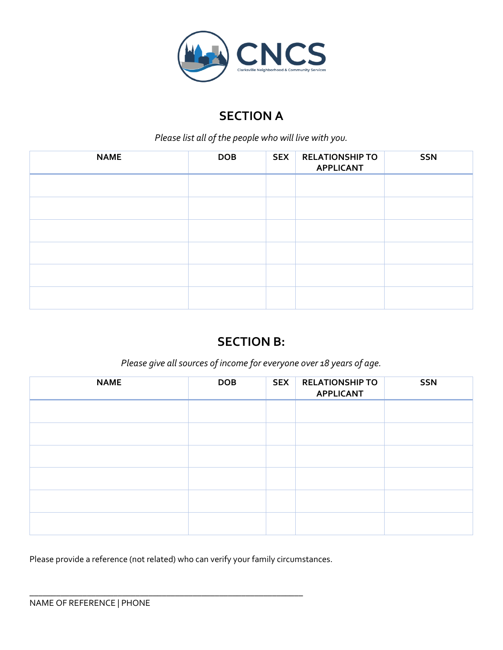

# **SECTION A**

*Please list all of the people who will live with you.* 

| <b>NAME</b> | <b>DOB</b> | <b>SEX</b> | <b>RELATIONSHIP TO</b><br><b>APPLICANT</b> | <b>SSN</b> |
|-------------|------------|------------|--------------------------------------------|------------|
|             |            |            |                                            |            |
|             |            |            |                                            |            |
|             |            |            |                                            |            |
|             |            |            |                                            |            |
|             |            |            |                                            |            |
|             |            |            |                                            |            |

# **SECTION B:**

*Please give all sources of income for everyone over 18 years of age.* 

| <b>NAME</b> | <b>DOB</b> | <b>SEX</b> | <b>RELATIONSHIP TO</b><br><b>APPLICANT</b> | <b>SSN</b> |
|-------------|------------|------------|--------------------------------------------|------------|
|             |            |            |                                            |            |
|             |            |            |                                            |            |
|             |            |            |                                            |            |
|             |            |            |                                            |            |
|             |            |            |                                            |            |
|             |            |            |                                            |            |

Please provide a reference (not related) who can verify your family circumstances.

\_\_\_\_\_\_\_\_\_\_\_\_\_\_\_\_\_\_\_\_\_\_\_\_\_\_\_\_\_\_\_\_\_\_\_\_\_\_\_\_\_\_\_\_\_\_\_\_\_\_\_\_\_\_\_\_\_\_\_\_\_\_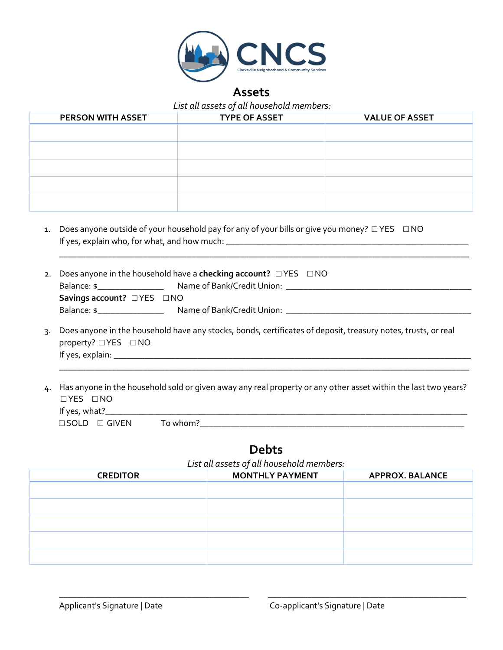

### **Assets**

*List all assets of all household members:*

| <b>PERSON WITH ASSET</b> | <b>TYPE OF ASSET</b> | <b>VALUE OF ASSET</b> |
|--------------------------|----------------------|-----------------------|
|                          |                      |                       |
|                          |                      |                       |
|                          |                      |                       |
|                          |                      |                       |
|                          |                      |                       |
|                          |                      |                       |

1. Does anyone outside of your household pay for any of your bills or give you money? □ YES □ NO If yes, explain who, for what, and how much: \_\_\_\_\_\_\_\_\_\_\_\_\_\_\_\_\_\_\_\_\_\_\_\_\_\_\_\_\_\_\_\_\_\_\_\_\_\_\_\_\_\_\_\_\_\_\_\_\_\_\_\_\_\_\_

|                                                                                                                  | 2. Does anyone in the household have a checking account? $\Box$ YES $\Box$ NO |                                                       |  |
|------------------------------------------------------------------------------------------------------------------|-------------------------------------------------------------------------------|-------------------------------------------------------|--|
|                                                                                                                  | Balance: \$___________________                                                |                                                       |  |
|                                                                                                                  | Savings account? $\Box$ YES $\Box$ NO                                         |                                                       |  |
|                                                                                                                  | Balance: \$                                                                   | Name of Bank/Credit Union: Name of Bank/Credit Union: |  |
| 3. Does anyone in the household have any stocks, bonds, certificates of deposit, treasury notes, trusts, or real |                                                                               |                                                       |  |

- 3. Does anyone in the household have any stocks, bonds, certificates of deposit, treasury notes, trusts, or real property? □ YES □ NO If yes, explain: \_\_\_\_\_\_\_\_\_\_\_\_\_\_\_\_\_\_\_\_\_\_\_\_\_\_\_\_\_\_\_\_\_\_\_\_\_\_\_\_\_\_\_\_\_\_\_\_\_\_\_\_\_\_\_\_\_\_\_\_\_\_\_\_\_\_\_\_\_\_\_\_\_\_\_\_\_\_\_\_\_
- 4. Has anyone in the household sold or given away any real property or any other asset within the last two years? □ YES □ NO If yes, what?\_\_\_\_\_\_\_\_\_\_\_\_\_\_\_\_\_\_\_\_\_\_\_\_\_\_\_\_\_\_\_\_\_\_\_\_\_\_\_\_\_\_\_\_\_\_\_\_\_\_\_\_\_\_\_\_\_\_\_\_\_\_\_\_\_\_\_\_\_\_\_\_\_\_\_\_\_\_\_\_\_\_ □ SOLD □ GIVEN To whom?\_\_\_\_\_\_\_\_\_\_\_\_\_\_\_\_\_\_\_\_\_\_\_\_\_\_\_\_\_\_\_\_\_\_\_\_\_\_\_\_\_\_\_\_\_\_\_\_\_\_\_\_\_\_\_\_\_\_\_\_

\_\_\_\_\_\_\_\_\_\_\_\_\_\_\_\_\_\_\_\_\_\_\_\_\_\_\_\_\_\_\_\_\_\_\_\_\_\_\_\_\_\_\_\_\_\_\_\_\_\_\_\_\_\_\_\_\_\_\_\_\_\_\_\_\_\_\_\_\_\_\_\_\_\_\_\_\_\_\_\_\_\_\_\_\_\_\_\_\_\_\_\_\_

**Debts**

*List all assets of all household members:*

\_\_\_\_\_\_\_\_\_\_\_\_\_\_\_\_\_\_\_\_\_\_\_\_\_\_\_\_\_\_\_\_\_\_\_\_\_\_\_\_\_\_\_ \_\_\_\_\_\_\_\_\_\_\_\_\_\_\_\_\_\_\_\_\_\_\_\_\_\_\_\_\_\_\_\_\_\_\_\_\_\_\_\_\_\_\_\_\_

| $= 0.5$ c and assets $\sigma_1$ and no set noted the motion |                        |                        |  |  |
|-------------------------------------------------------------|------------------------|------------------------|--|--|
| <b>CREDITOR</b>                                             | <b>MONTHLY PAYMENT</b> | <b>APPROX. BALANCE</b> |  |  |
|                                                             |                        |                        |  |  |
|                                                             |                        |                        |  |  |
|                                                             |                        |                        |  |  |
|                                                             |                        |                        |  |  |
|                                                             |                        |                        |  |  |
|                                                             |                        |                        |  |  |
|                                                             |                        |                        |  |  |
|                                                             |                        |                        |  |  |
|                                                             |                        |                        |  |  |
|                                                             |                        |                        |  |  |
|                                                             |                        |                        |  |  |
|                                                             |                        |                        |  |  |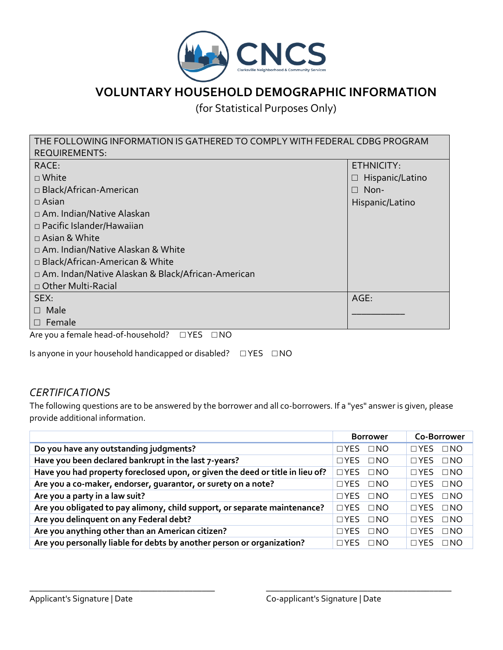

# **VOLUNTARY HOUSEHOLD DEMOGRAPHIC INFORMATION**

(for Statistical Purposes Only)

| THE FOLLOWING INFORMATION IS GATHERED TO COMPLY WITH FEDERAL CDBG PROGRAM |                        |  |  |  |
|---------------------------------------------------------------------------|------------------------|--|--|--|
| <b>REQUIREMENTS:</b>                                                      |                        |  |  |  |
| RACE:                                                                     | ETHNICITY:             |  |  |  |
| $\Box$ White                                                              | $\Box$ Hispanic/Latino |  |  |  |
| □ Black/African-American                                                  | $\Box$ Non-            |  |  |  |
| $\Box$ Asian                                                              | Hispanic/Latino        |  |  |  |
| □ Am. Indian/Native Alaskan                                               |                        |  |  |  |
| $\Box$ Pacific Islander/Hawaiian                                          |                        |  |  |  |
| $\Box$ Asian & White                                                      |                        |  |  |  |
| □ Am. Indian/Native Alaskan & White                                       |                        |  |  |  |
| □ Black/African-American & White                                          |                        |  |  |  |
| □ Am. Indan/Native Alaskan & Black/African-American                       |                        |  |  |  |
| □ Other Multi-Racial                                                      |                        |  |  |  |
| SEX:                                                                      | AGE:                   |  |  |  |
| Male<br>П                                                                 |                        |  |  |  |
| $\Box$ Female                                                             |                        |  |  |  |
| Are you a female head-of-household?<br>$\Box$ YES<br>$\Box$ NO            |                        |  |  |  |

Is anyone in your household handicapped or disabled? □ YES □ NO

### *CERTIFICATIONS*

The following questions are to be answered by the borrower and all co-borrowers. If a "yes" answer is given, please provide additional information.

|                                                                               | <b>Borrower</b>         | Co-Borrower                  |
|-------------------------------------------------------------------------------|-------------------------|------------------------------|
| Do you have any outstanding judgments?                                        | $\Box$ YES<br>$\Box$ NO | $\Box$ NO<br>$\Box$ YES      |
| Have you been declared bankrupt in the last 7-years?                          | $\Box$ YES $\Box$ NO    | $\Box$ NO<br>$\Box$ YES      |
| Have you had property foreclosed upon, or given the deed or title in lieu of? | $\Box$ YES<br>$\Box$ NO | $\square$ NO<br>$\Box$ YES   |
| Are you a co-maker, endorser, quarantor, or surety on a note?                 | $\Box$ YES $\Box$ NO    | $\square$ NO<br>$\Box$ YES   |
| Are you a party in a law suit?                                                | $\Box$ YES $\Box$ NO    | $\Box$ NO<br>$\sqcap$ YES    |
| Are you obligated to pay alimony, child support, or separate maintenance?     | $\Box$ YES<br>$\Box$ NO | $\square$ NO<br>$\sqcap$ YES |
| Are you delinquent on any Federal debt?                                       | $\Box$ YES<br>$\Box$ NO | $\Box$ NO<br>$\sqcap$ YES    |
| Are you anything other than an American citizen?                              | $\Box$ YES<br>$\Box$ NO | $\Box$ NO<br>$\sqcap$ YES    |
| Are you personally liable for debts by another person or organization?        | $\Box$ YES $\Box$ NO    | $\sqcap$ YES<br>$\Box$ NO    |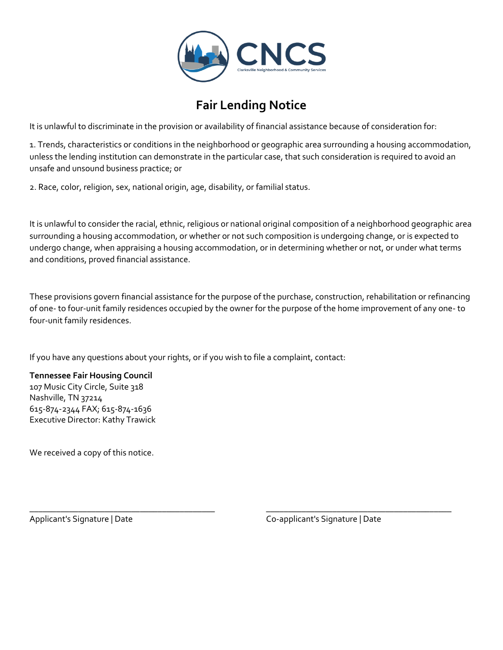

# **Fair Lending Notice**

It is unlawful to discriminate in the provision or availability of financial assistance because of consideration for:

1. Trends, characteristics or conditions in the neighborhood or geographic area surrounding a housing accommodation, unless the lending institution can demonstrate in the particular case, that such consideration is required to avoid an unsafe and unsound business practice; or

2. Race, color, religion, sex, national origin, age, disability, or familial status.

It is unlawful to consider the racial, ethnic, religious or national original composition of a neighborhood geographic area surrounding a housing accommodation, or whether or not such composition is undergoing change, or is expected to undergo change, when appraising a housing accommodation, or in determining whether or not, or under what terms and conditions, proved financial assistance.

These provisions govern financial assistance for the purpose of the purchase, construction, rehabilitation or refinancing of one- to four-unit family residences occupied by the owner for the purpose of the home improvement of any one- to four-unit family residences.

If you have any questions about your rights, or if you wish to file a complaint, contact:

### **Tennessee Fair Housing Council**

107 Music City Circle, Suite 318 Nashville, TN 37214 615-874-2344 FAX; 615-874-1636 Executive Director: Kathy Trawick

We received a copy of this notice.

\_\_\_\_\_\_\_\_\_\_\_\_\_\_\_\_\_\_\_\_\_\_\_\_\_\_\_\_\_\_\_\_\_\_\_\_\_\_\_\_\_\_ \_\_\_\_\_\_\_\_\_\_\_\_\_\_\_\_\_\_\_\_\_\_\_\_\_\_\_\_\_\_\_\_\_\_\_\_\_\_\_\_\_\_ Applicant's Signature | Date | Co-applicant's Signature | Date | Co-applicant's Signature | Date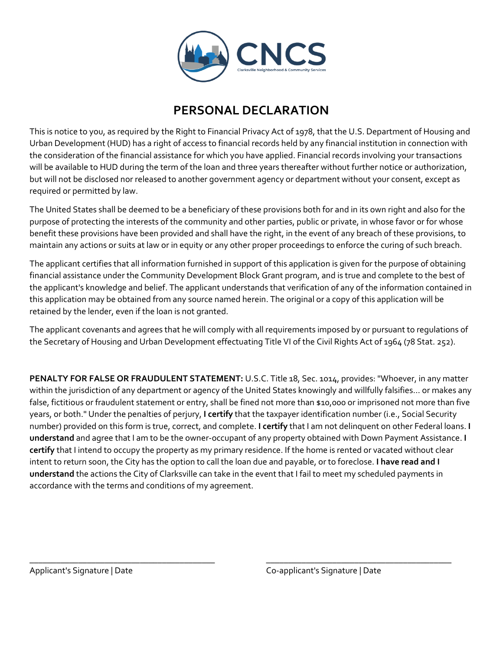

## **PERSONAL DECLARATION**

This is notice to you, as required by the Right to Financial Privacy Act of 1978, that the U.S. Department of Housing and Urban Development (HUD) has a right of access to financial records held by any financial institution in connection with the consideration of the financial assistance for which you have applied. Financial records involving your transactions will be available to HUD during the term of the loan and three years thereafter without further notice or authorization, but will not be disclosed nor released to another government agency or department without your consent, except as required or permitted by law.

The United States shall be deemed to be a beneficiary of these provisions both for and in its own right and also for the purpose of protecting the interests of the community and other parties, public or private, in whose favor or for whose benefit these provisions have been provided and shall have the right, in the event of any breach of these provisions, to maintain any actions or suits at law or in equity or any other proper proceedings to enforce the curing of such breach.

The applicant certifies that all information furnished in support of this application is given for the purpose of obtaining financial assistance under the Community Development Block Grant program, and is true and complete to the best of the applicant's knowledge and belief. The applicant understands that verification of any of the information contained in this application may be obtained from any source named herein. The original or a copy of this application will be retained by the lender, even if the loan is not granted.

The applicant covenants and agrees that he will comply with all requirements imposed by or pursuant to regulations of the Secretary of Housing and Urban Development effectuating Title VI of the Civil Rights Act of 1964 (78 Stat. 252).

**PENALTY FOR FALSE OR FRAUDULENT STATEMENT:** U.S.C. Title 18, Sec. 1014, provides: "Whoever, in any matter within the jurisdiction of any department or agency of the United States knowingly and willfully falsifies... or makes any false, fictitious or fraudulent statement or entry, shall be fined not more than \$10,000 or imprisoned not more than five years, or both." Under the penalties of perjury, **I certify** that the taxpayer identification number (i.e., Social Security number) provided on this form is true, correct, and complete. **I certify** that I am not delinquent on other Federal loans. **I understand** and agree that I am to be the owner-occupant of any property obtained with Down Payment Assistance. **I certify** that I intend to occupy the property as my primary residence. If the home is rented or vacated without clear intent to return soon, the City has the option to call the loan due and payable, or to foreclose. **I have read and I understand** the actions the City of Clarksville can take in the event that I fail to meet my scheduled payments in accordance with the terms and conditions of my agreement.

 $\overline{\phantom{a}}$  , and the contract of the contract of the contract of the contract of the contract of the contract of the contract of the contract of the contract of the contract of the contract of the contract of the contrac